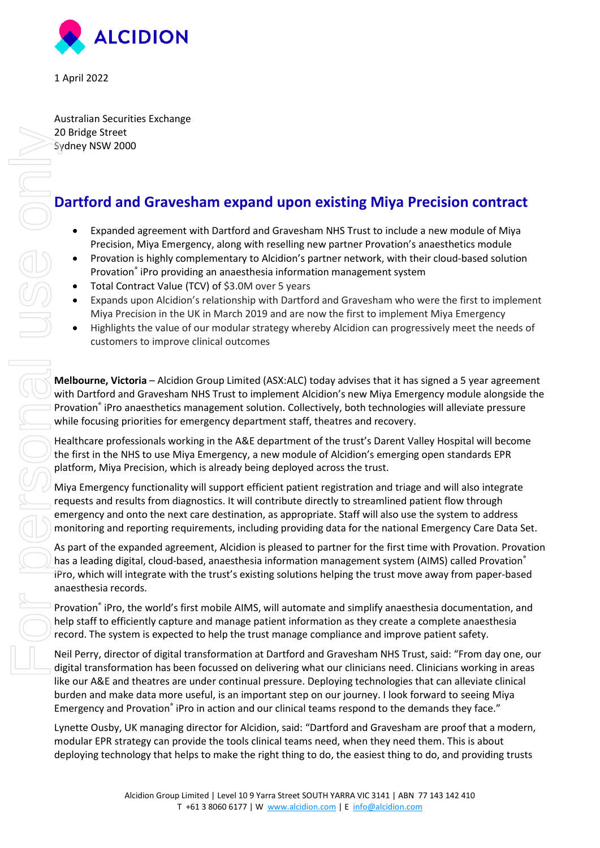

1 April 2022

Australian Securities Exchange 20 Bridge Street Sydney NSW 2000

# **Dartford and Gravesham expand upon existing Miya Precision contract**

- Expanded agreement with Dartford and Gravesham NHS Trust to include a new module of Miya Precision, Miya Emergency, along with reselling new partner Provation's anaesthetics module
- Provation is highly complementary to Alcidion's partner network, with their cloud-based solution Provation® iPro providing an anaesthesia information management system
- Total Contract Value (TCV) of \$3.0M over 5 years
- Expands upon Alcidion's relationship with Dartford and Gravesham who were the first to implement Miya Precision in the UK in March 2019 and are now the first to implement Miya Emergency
- Highlights the value of our modular strategy whereby Alcidion can progressively meet the needs of customers to improve clinical outcomes

**Melbourne, Victoria** – Alcidion Group Limited (ASX:ALC) today advises that it has signed a 5 year agreement with Dartford and Gravesham NHS Trust to implement Alcidion's new Miya Emergency module alongside the Provation® iPro anaesthetics management solution. Collectively, both technologies will alleviate pressure while focusing priorities for emergency department staff, theatres and recovery.

Healthcare professionals working in the A&E department of the trust's Darent Valley Hospital will become the first in the NHS to use Miya Emergency, a new module of Alcidion's emerging open standards EPR platform, Miya Precision, which is already being deployed across the trust.

Miya Emergency functionality will support efficient patient registration and triage and will also integrate requests and results from diagnostics. It will contribute directly to streamlined patient flow through emergency and onto the next care destination, as appropriate. Staff will also use the system to address monitoring and reporting requirements, including providing data for the national Emergency Care Data Set.

As part of the expanded agreement, Alcidion is pleased to partner for the first time with Provation. Provation has a leading digital, cloud-based, anaesthesia information management system (AIMS) called Provation® iPro, which will integrate with the trust's existing solutions helping the trust move away from paper-based anaesthesia records.

Provation® iPro, the world's first mobile AIMS, will automate and simplify anaesthesia documentation, and help staff to efficiently capture and manage patient information as they create a complete anaesthesia record. The system is expected to help the trust manage compliance and improve patient safety.

Neil Perry, director of digital transformation at Dartford and Gravesham NHS Trust, said: "From day one, our digital transformation has been focussed on delivering what our clinicians need. Clinicians working in areas like our A&E and theatres are under continual pressure. Deploying technologies that can alleviate clinical burden and make data more useful, is an important step on our journey. I look forward to seeing Miya Emergency and Provation® iPro in action and our clinical teams respond to the demands they face." order of the right interest of the right of the right thing to make the right thing to make the right thing to make the right thing the right thing the right of this interest the right of the right of the right of the righ

Lynette Ousby, UK managing director for Alcidion, said: "Dartford and Gravesham are proof that a modern, modular EPR strategy can provide the tools clinical teams need, when they need them. This is about